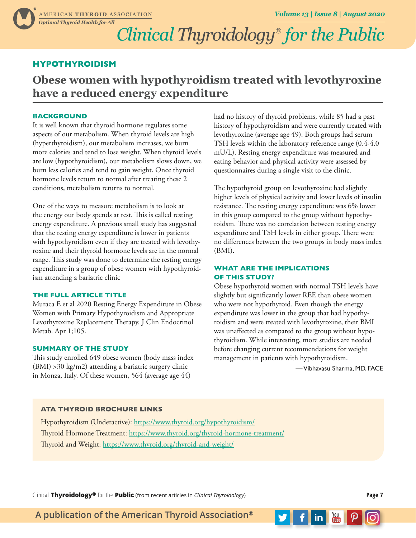## *Clinical Thyroidology***®** *for the Public*

### **HYPOTHYROIDISM**

**Obese women with hypothyroidism treated with levothyroxine have a reduced energy expenditure**

#### **BACKGROUND**

It is well known that thyroid hormone regulates some aspects of our metabolism. When thyroid levels are high (hyperthyroidism), our metabolism increases, we burn more calories and tend to lose weight. When thyroid levels are low (hypothyroidism), our metabolism slows down, we burn less calories and tend to gain weight. Once thyroid hormone levels return to normal after treating these 2 conditions, metabolism returns to normal.

One of the ways to measure metabolism is to look at the energy our body spends at rest. This is called resting energy expenditure. A previous small study has suggested that the resting energy expenditure is lower in patients with hypothyroidism even if they are treated with levothyroxine and their thyroid hormone levels are in the normal range. This study was done to determine the resting energy expenditure in a group of obese women with hypothyroidism attending a bariatric clinic

#### **THE FULL ARTICLE TITLE**

Muraca E et al 2020 Resting Energy Expenditure in Obese Women with Primary Hypothyroidism and Appropriate Levothyroxine Replacement Therapy. J Clin Endocrinol Metab. Apr 1;105.

#### **SUMMARY OF THE STUDY**

This study enrolled 649 obese women (body mass index (BMI) >30 kg/m2) attending a bariatric surgery clinic in Monza, Italy. Of these women, 564 (average age 44)

had no history of thyroid problems, while 85 had a past history of hypothyroidism and were currently treated with levothyroxine (average age 49). Both groups had serum TSH levels within the laboratory reference range (0.4-4.0 mU/L). Resting energy expenditure was measured and eating behavior and physical activity were assessed by questionnaires during a single visit to the clinic.

The hypothyroid group on levothyroxine had slightly higher levels of physical activity and lower levels of insulin resistance. The resting energy expenditure was 6% lower in this group compared to the group without hypothyroidsm. There was no correlation between resting energy expenditure and TSH levels in either group. There were no differences between the two groups in body mass index (BMI).

#### **WHAT ARE THE IMPLICATIONS OF THIS STUDY?**

Obese hypothyroid women with normal TSH levels have slightly but significantly lower REE than obese women who were not hypothyroid. Even though the energy expenditure was lower in the group that had hypothyroidism and were treated with levothyroxine, their BMI was unaffected as compared to the group without hypothyroidism. While interesting, more studies are needed before changing current recommendations for weight management in patients with hypothyroidism.

— Vibhavasu Sharma, MD, FACE

 $\overline{\mathbf{m}}$   $\overline{\mathbf{m}}$ 

#### **ATA THYROID BROCHURE LINKS**

Hypothyroidism (Underactive):<https://www.thyroid.org/hypothyroidism/> Thyroid Hormone Treatment: <https://www.thyroid.org/thyroid-hormone-treatment/> Thyroid and Weight:<https://www.thyroid.org/thyroid-and-weight/>

Clinical **Thyroidology®** for the **Public** (from recent articles in *Clinical Thyroidology*) **Page 7**

**A publication of the American Thyroid Association®**